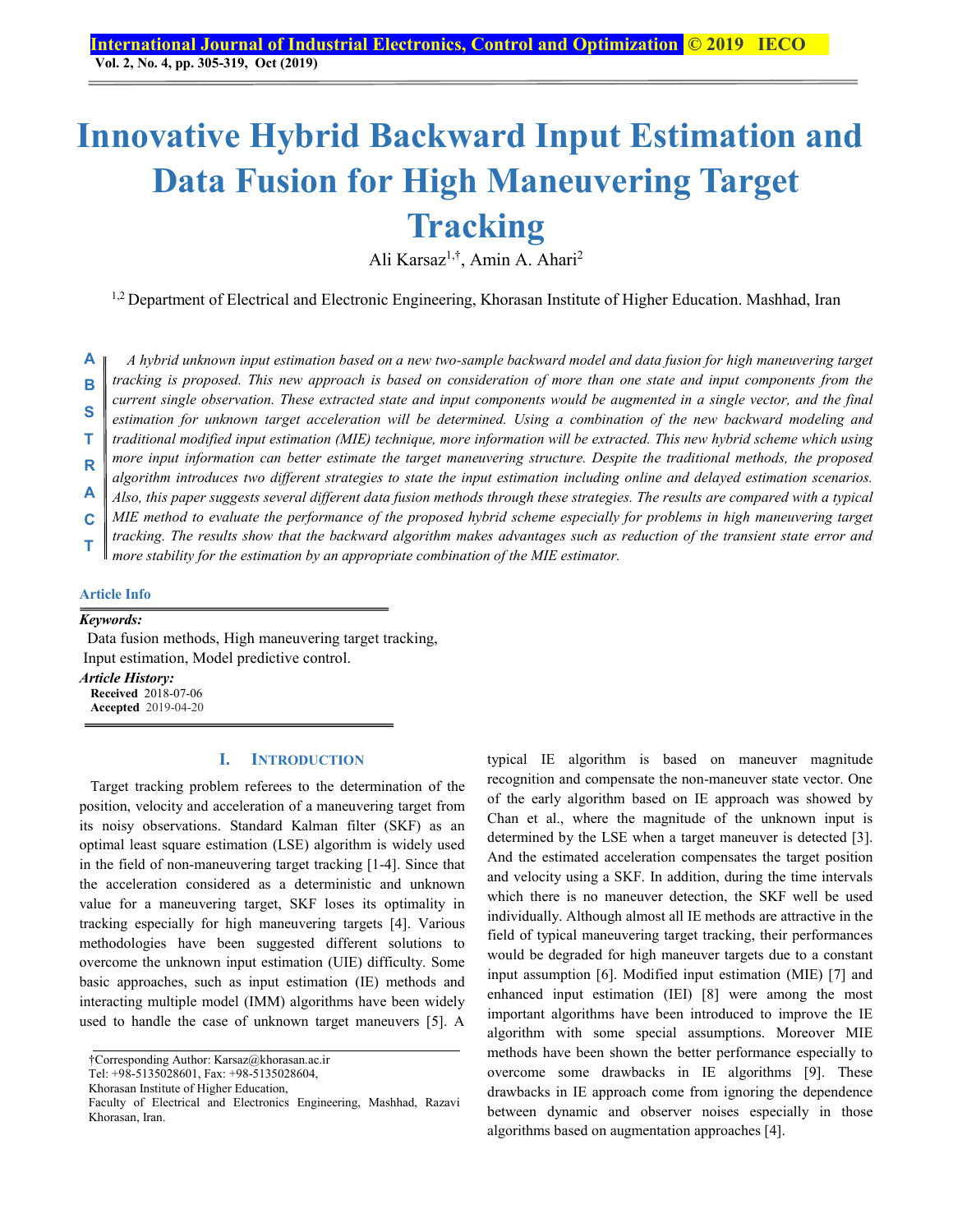# **Innovative Hybrid Backward Input Estimation and Data Fusion for High Maneuvering Target Tracking**

Ali Karsaz1,†, Amin A. Ahari2

<sup>1,2</sup> Department of Electrical and Electronic Engineering, Khorasan Institute of Higher Education. Mashhad, Iran

*A hybrid unknown input estimation based on a new two-sample backward model and data fusion for high maneuvering target tracking is proposed. This new approach is based on consideration of more than one state and input components from the current single observation. These extracted state and input components would be augmented in a single vector, and the final*  estimation for unknown target acceleration will be determined. Using a combination of the new backward modeling and *traditional modified input estimation (MIE) technique, more information will be extracted. This new hybrid scheme which using more input information can better estimate the target maneuvering structure. Despite the traditional methods, the proposed algorithm introduces two different strategies to state the input estimation including online and delayed estimation scenarios. Also, this paper suggests several different data fusion methods through these strategies. The results are compared with a typical MIE method to evaluate the performance of the proposed hybrid scheme especially for problems in high maneuvering target tracking. The results show that the backward algorithm makes advantages such as reduction of the transient state error and*  **A B S T R A C**

*more stability for the estimation by an appropriate combination of the MIE estimator.*  **T** 

#### **Article Info**

## *Keywords:*

 Data fusion methods, High maneuvering target tracking, Input estimation, Model predictive control. *Article History:*  **Received** 2018-07-06

**Accepted** 2019-04-20

## **I. INTRODUCTION**

Target tracking problem referees to the determination of the position, velocity and acceleration of a maneuvering target from its noisy observations. Standard Kalman filter (SKF) as an optimal least square estimation (LSE) algorithm is widely used in the field of non-maneuvering target tracking [1-4]. Since that the acceleration considered as a deterministic and unknown value for a maneuvering target, SKF loses its optimality in tracking especially for high maneuvering targets [4]. Various methodologies have been suggested different solutions to overcome the unknown input estimation (UIE) difficulty. Some basic approaches, such as input estimation (IE) methods and interacting multiple model (IMM) algorithms have been widely used to handle the case of unknown target maneuvers [5]. A

Tel: +98-5135028601, Fax: +98-5135028604,

Khorasan Institute of Higher Education,

typical IE algorithm is based on maneuver magnitude recognition and compensate the non-maneuver state vector. One of the early algorithm based on IE approach was showed by Chan et al., where the magnitude of the unknown input is determined by the LSE when a target maneuver is detected [3]. And the estimated acceleration compensates the target position and velocity using a SKF. In addition, during the time intervals which there is no maneuver detection, the SKF well be used individually. Although almost all IE methods are attractive in the field of typical maneuvering target tracking, their performances would be degraded for high maneuver targets due to a constant input assumption [6]. Modified input estimation (MIE) [7] and enhanced input estimation (IEI) [8] were among the most important algorithms have been introduced to improve the IE algorithm with some special assumptions. Moreover MIE methods have been shown the better performance especially to overcome some drawbacks in IE algorithms [9]. These drawbacks in IE approach come from ignoring the dependence between dynamic and observer noises especially in those algorithms based on augmentation approaches [4].

<sup>†</sup>Corresponding Author: Karsaz@khorasan.ac.ir

Faculty of Electrical and Electronics Engineering, Mashhad, Razavi Khorasan, Iran.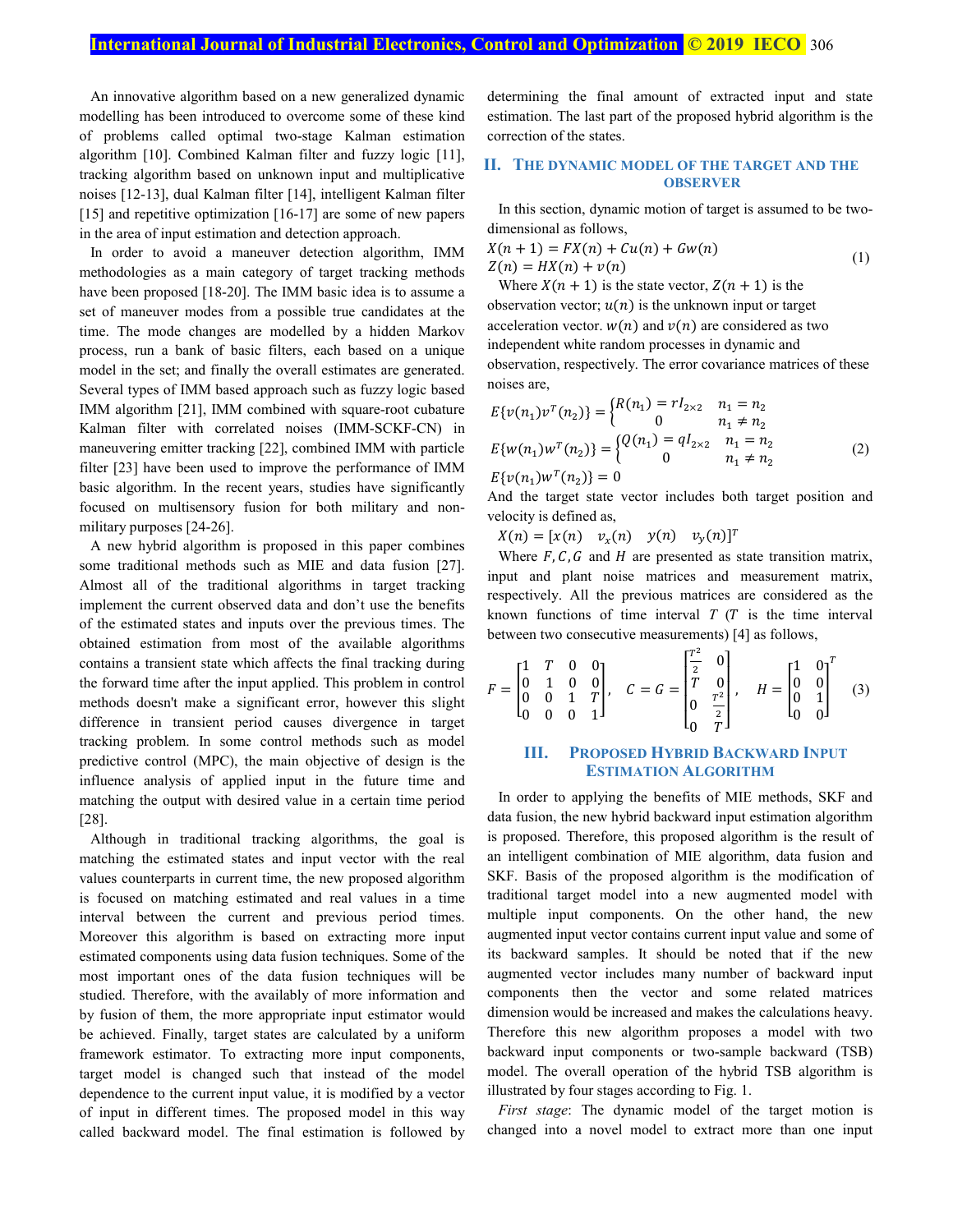An innovative algorithm based on a new generalized dynamic modelling has been introduced to overcome some of these kind of problems called optimal two-stage Kalman estimation algorithm [10]. Combined Kalman filter and fuzzy logic [11], tracking algorithm based on unknown input and multiplicative noises [12-13], dual Kalman filter [14], intelligent Kalman filter [15] and repetitive optimization [16-17] are some of new papers in the area of input estimation and detection approach.

In order to avoid a maneuver detection algorithm, IMM methodologies as a main category of target tracking methods have been proposed [18-20]. The IMM basic idea is to assume a set of maneuver modes from a possible true candidates at the time. The mode changes are modelled by a hidden Markov process, run a bank of basic filters, each based on a unique model in the set; and finally the overall estimates are generated. Several types of IMM based approach such as fuzzy logic based IMM algorithm [21], IMM combined with square-root cubature Kalman filter with correlated noises (IMM-SCKF-CN) in maneuvering emitter tracking [22], combined IMM with particle filter [23] have been used to improve the performance of IMM basic algorithm. In the recent years, studies have significantly focused on multisensory fusion for both military and nonmilitary purposes [24-26].

A new hybrid algorithm is proposed in this paper combines some traditional methods such as MIE and data fusion [27]. Almost all of the traditional algorithms in target tracking implement the current observed data and don't use the benefits of the estimated states and inputs over the previous times. The obtained estimation from most of the available algorithms contains a transient state which affects the final tracking during the forward time after the input applied. This problem in control methods doesn't make a significant error, however this slight difference in transient period causes divergence in target tracking problem. In some control methods such as model predictive control (MPC), the main objective of design is the influence analysis of applied input in the future time and matching the output with desired value in a certain time period [28].

Although in traditional tracking algorithms, the goal is matching the estimated states and input vector with the real values counterparts in current time, the new proposed algorithm is focused on matching estimated and real values in a time interval between the current and previous period times. Moreover this algorithm is based on extracting more input estimated components using data fusion techniques. Some of the most important ones of the data fusion techniques will be studied. Therefore, with the availably of more information and by fusion of them, the more appropriate input estimator would be achieved. Finally, target states are calculated by a uniform framework estimator. To extracting more input components, target model is changed such that instead of the model dependence to the current input value, it is modified by a vector of input in different times. The proposed model in this way called backward model. The final estimation is followed by determining the final amount of extracted input and state estimation. The last part of the proposed hybrid algorithm is the correction of the states.

## **II. THE DYNAMIC MODEL OF THE TARGET AND THE OBSERVER**

In this section, dynamic motion of target is assumed to be twodimensional as follows,

$$
X(n + 1) = FX(n) + Cu(n) + Gw(n)
$$
  
\n
$$
Z(n) = HX(n) + v(n)
$$
\n(1)

Where  $X(n + 1)$  is the state vector,  $Z(n + 1)$  is the observation vector;  $u(n)$  is the unknown input or target acceleration vector.  $w(n)$  and  $v(n)$  are considered as two independent white random processes in dynamic and observation, respectively. The error covariance matrices of these noises are,

$$
E\{v(n_1)v^{T}(n_2)\} = \begin{cases} R(n_1) = rI_{2\times 2} & n_1 = n_2\\ 0 & n_1 \neq n_2 \end{cases}
$$
  
\n
$$
E\{w(n_1)w^{T}(n_2)\} = \begin{cases} Q(n_1) = qI_{2\times 2} & n_1 = n_2\\ 0 & n_1 \neq n_2 \end{cases}
$$
 (2)  
\n
$$
E\{v(n_1)w^{T}(n_2)\} = 0
$$

And the target state vector includes both target position and velocity is defined as,

 $X(n) = [x(n) \quad v_x(n) \quad y(n) \quad v_y(n)]^T$ 

Where  $F$ ,  $C$ ,  $G$  and  $H$  are presented as state transition matrix, input and plant noise matrices and measurement matrix, respectively. All the previous matrices are considered as the known functions of time interval  $T(T)$  is the time interval between two consecutive measurements) [4] as follows,

$$
F = \begin{bmatrix} 1 & T & 0 & 0 \\ 0 & 1 & 0 & 0 \\ 0 & 0 & 1 & T \\ 0 & 0 & 0 & 1 \end{bmatrix}, \quad C = G = \begin{bmatrix} \frac{T^2}{2} & 0 \\ T & 0 \\ 0 & \frac{T^2}{2} \end{bmatrix}, \quad H = \begin{bmatrix} 1 & 0 \\ 0 & 0 \\ 0 & 1 \\ 0 & 0 \end{bmatrix}^T \tag{3}
$$

## **III. PROPOSED HYBRID BACKWARD INPUT ESTIMATION ALGORITHM**

In order to applying the benefits of MIE methods, SKF and data fusion, the new hybrid backward input estimation algorithm is proposed. Therefore, this proposed algorithm is the result of an intelligent combination of MIE algorithm, data fusion and SKF. Basis of the proposed algorithm is the modification of traditional target model into a new augmented model with multiple input components. On the other hand, the new augmented input vector contains current input value and some of its backward samples. It should be noted that if the new augmented vector includes many number of backward input components then the vector and some related matrices dimension would be increased and makes the calculations heavy. Therefore this new algorithm proposes a model with two backward input components or two-sample backward (TSB) model. The overall operation of the hybrid TSB algorithm is illustrated by four stages according to Fig. 1.

*First stage*: The dynamic model of the target motion is changed into a novel model to extract more than one input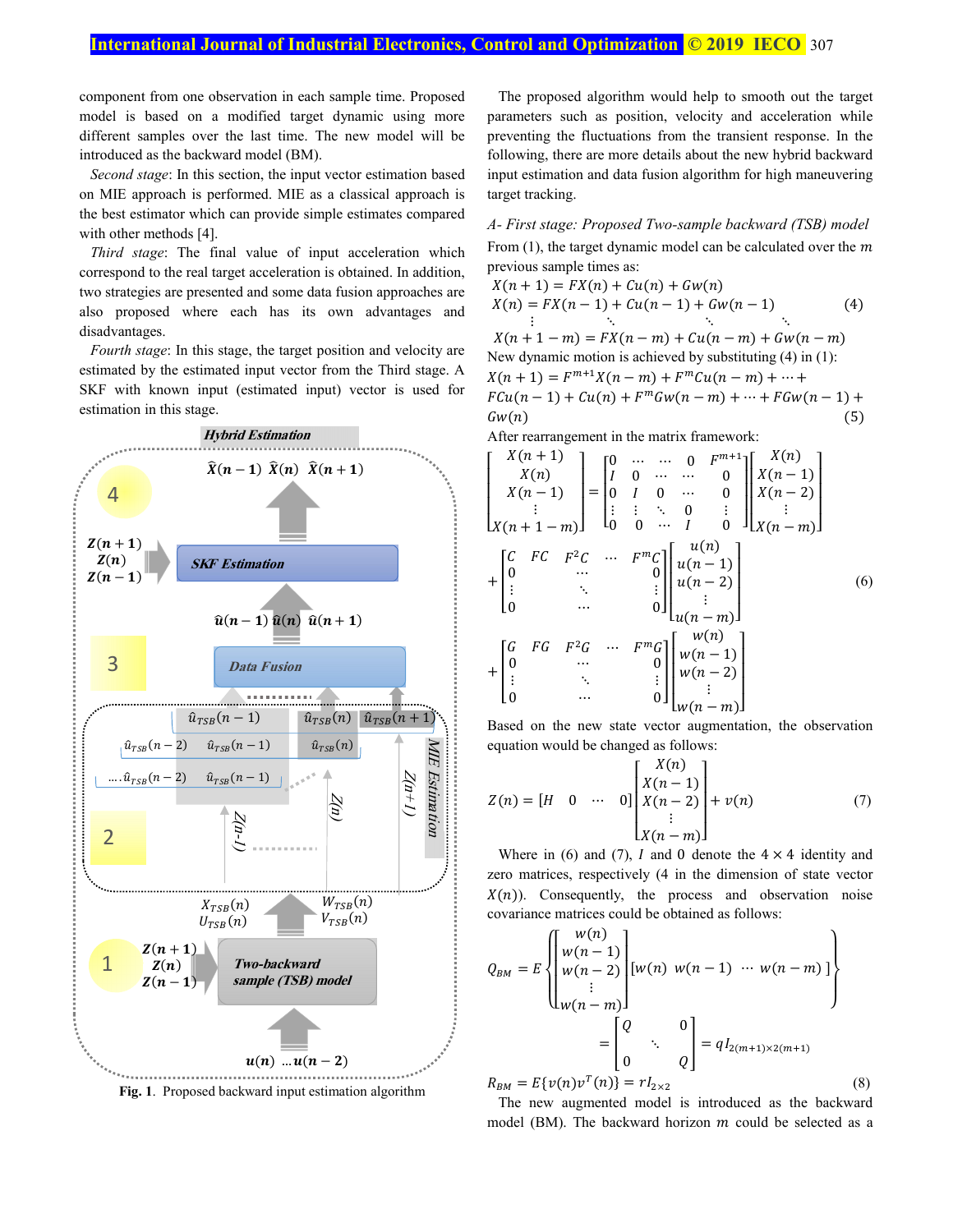component from one observation in each sample time. Proposed model is based on a modified target dynamic using more different samples over the last time. The new model will be introduced as the backward model (BM).

*Second stage*: In this section, the input vector estimation based on MIE approach is performed. MIE as a classical approach is the best estimator which can provide simple estimates compared with other methods [4].

*Third stage*: The final value of input acceleration which correspond to the real target acceleration is obtained. In addition, two strategies are presented and some data fusion approaches are also proposed where each has its own advantages and disadvantages.

*Fourth stage*: In this stage, the target position and velocity are estimated by the estimated input vector from the Third stage. A SKF with known input (estimated input) vector is used for estimation in this stage.



**Fig. 1**. Proposed backward input estimation algorithm

The proposed algorithm would help to smooth out the target parameters such as position, velocity and acceleration while preventing the fluctuations from the transient response. In the following, there are more details about the new hybrid backward input estimation and data fusion algorithm for high maneuvering target tracking.

*A- First stage: Proposed Two-sample backward (TSB) model*  From  $(1)$ , the target dynamic model can be calculated over the m previous sample times as:

$$
X(n + 1) = FX(n) + Cu(n) + Gw(n)
$$
  
\n
$$
X(n) = FX(n - 1) + Cu(n - 1) + Gw(n - 1)
$$
  
\n
$$
\vdots \qquad \ddots \qquad \ddots
$$
  
\n
$$
X(n + 1 - m) = FX(n - m) + Cu(n - m) + Gw(n - m)
$$
  
\nNew dynamic motion is achieved by substituting (4) in (1):  
\n
$$
X(n + 1) = F^{m+1}X(n - m) + F^mCu(n - m) + \cdots + Fcu(n - 1) + Cu(n) + F^mGw(n - m) + \cdots + FGw(n - 1) + Gw(n)
$$
  
\n(5)

After rearrangement in the matrix framework:

$$
\begin{bmatrix}\nX(n+1) \\
X(n) \\
X(n-1) \\
\vdots \\
X(n+1-m)\n\end{bmatrix} =\n\begin{bmatrix}\n0 & \cdots & \cdots & 0 & F^{m+1} \\
I & 0 & \cdots & \cdots & 0 \\
0 & I & 0 & \cdots & 0 \\
\vdots & \vdots & \ddots & 0 & \vdots \\
0 & 0 & \cdots & I & 0\n\end{bmatrix}\n\begin{bmatrix}\nX(n) \\
X(n-1) \\
X(n-2) \\
\vdots \\
X(n-m)\n\end{bmatrix}
$$
\n+\n
$$
\begin{bmatrix}\nC & FC & F^2C & \cdots & F^mC \\
0 & \cdots & & & 0 \\
\vdots & & \ddots & & \vdots \\
0 & \cdots & & & 0\n\end{bmatrix}\n\begin{bmatrix}\nu(n) \\
u(n-1) \\
u(n-2) \\
\vdots \\
u(n-m)\n\end{bmatrix}
$$
\n+\n
$$
\begin{bmatrix}\nG & FG & F^2G & \cdots & F^mG \\
0 & \cdots & & & 0 \\
\vdots & & \ddots & & \vdots \\
0 & \cdots & & & 0\n\end{bmatrix}\n\begin{bmatrix}\nw(n) \\
w(n-1) \\
w(n-2) \\
\vdots \\
w(n-m)\n\end{bmatrix}
$$
\n(6)

Based on the new state vector augmentation, the observation equation would be changed as follows:

$$
Z(n) = [H \quad 0 \quad \cdots \quad 0] \begin{bmatrix} X(n) \\ X(n-1) \\ X(n-2) \\ \vdots \\ X(n-m) \end{bmatrix} + v(n) \tag{7}
$$

Where in (6) and (7), *I* and 0 denote the  $4 \times 4$  identity and zero matrices, respectively (4 in the dimension of state vector  $X(n)$ ). Consequently, the process and observation noise covariance matrices could be obtained as follows:

$$
Q_{BM} = E \left\{ \begin{bmatrix} w(n) \\ w(n-1) \\ w(n-2) \\ \vdots \\ w(n-m) \end{bmatrix} \begin{bmatrix} w(n) \\ w(n) + w(n-1) + w(n-m) \end{bmatrix} \right\}
$$

$$
= \begin{bmatrix} Q & 0 \\ 0 & Q \end{bmatrix} = qI_{2(m+1) \times 2(m+1)}
$$

$$
R_{BM} = E\{v(n)v^{T}(n)\} = rI_{2 \times 2}
$$
(8)

The new augmented model is introduced as the backward model (BM). The backward horizon  $m$  could be selected as a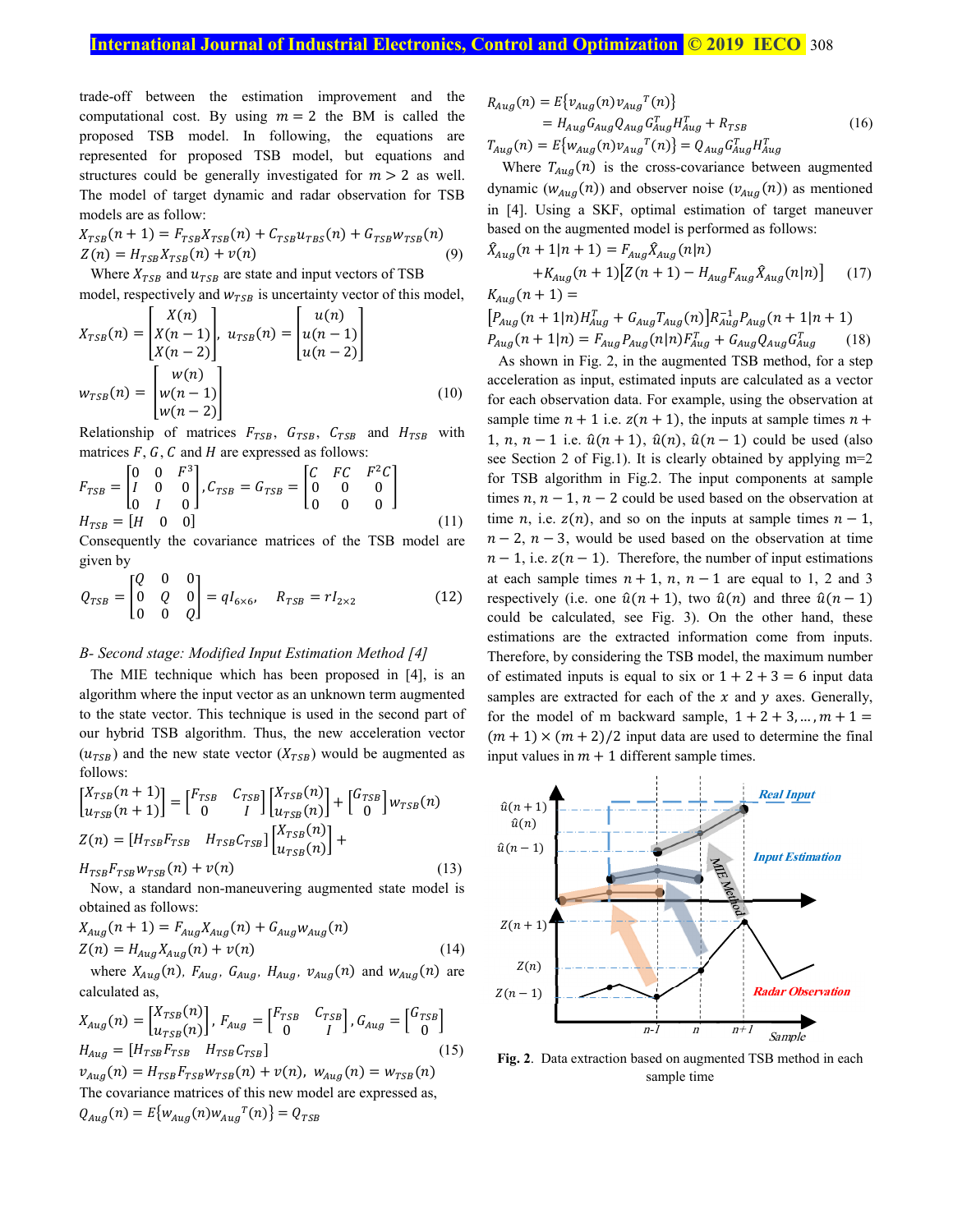# **International Journal of Industrial Electronics, Control and Optimization <b>© 2019 IECO** 308

trade-off between the estimation improvement and the computational cost. By using  $m = 2$  the BM is called the proposed TSB model. In following, the equations are represented for proposed TSB model, but equations and structures could be generally investigated for  $m > 2$  as well. The model of target dynamic and radar observation for TSB models are as follow:

$$
X_{TSB}(n+1) = F_{TSB}X_{TSB}(n) + C_{TSB}u_{TBS}(n) + G_{TSB}w_{TSB}(n)
$$
  
\n
$$
Z(n) = H_{TSB}X_{TSB}(n) + v(n)
$$
 (9)

Where  $X_{TSR}$  and  $u_{TSR}$  are state and input vectors of TSB model, respectively and  $w_{TSB}$  is uncertainty vector of this model,

$$
X_{TSB}(n) = \begin{bmatrix} X(n) \\ X(n-1) \\ X(n-2) \end{bmatrix}, u_{TSB}(n) = \begin{bmatrix} u(n) \\ u(n-1) \\ u(n-2) \end{bmatrix}
$$
  

$$
w_{TSB}(n) = \begin{bmatrix} w(n) \\ w(n-1) \\ w(n-2) \end{bmatrix}
$$
 (10)

Relationship of matrices  $F_{TSB}$ ,  $G_{TSB}$ ,  $C_{TSB}$  and  $H_{TSB}$  with matrices  $F$ ,  $G$ ,  $C$  and  $H$  are expressed as follows:

$$
F_{TSB} = \begin{bmatrix} 0 & 0 & F^3 \\ I & 0 & 0 \\ 0 & I & 0 \end{bmatrix}, C_{TSB} = G_{TSB} = \begin{bmatrix} C & FC & F^2C \\ 0 & 0 & 0 \\ 0 & 0 & 0 \end{bmatrix}
$$
  
\n
$$
H_{TSB} = \begin{bmatrix} H & 0 & 0 \end{bmatrix}
$$
\n(11)

Consequently the covariance matrices of the TSB model are given by

$$
Q_{TSB} = \begin{bmatrix} Q & 0 & 0 \\ 0 & Q & 0 \\ 0 & 0 & Q \end{bmatrix} = qI_{6\times 6}, \quad R_{TSB} = rI_{2\times 2}
$$
 (12)

## *B- Second stage: Modified Input Estimation Method [4]*

The MIE technique which has been proposed in [4], is an algorithm where the input vector as an unknown term augmented to the state vector. This technique is used in the second part of our hybrid TSB algorithm. Thus, the new acceleration vector  $(u_{TSB})$  and the new state vector  $(X_{TSB})$  would be augmented as follows:

$$
\begin{bmatrix} X_{TSB}(n+1) \\ u_{TSB}(n+1) \end{bmatrix} = \begin{bmatrix} F_{TSB} & C_{TSB} \\ 0 & I \end{bmatrix} \begin{bmatrix} X_{TSB}(n) \\ u_{TSB}(n) \end{bmatrix} + \begin{bmatrix} G_{TSB} \\ 0 \end{bmatrix} w_{TSB}(n)
$$

$$
Z(n) = [H_{TSB}F_{TSB} & H_{TSB}C_{TSB}] \begin{bmatrix} X_{TSB}(n) \\ u_{TSB}(n) \end{bmatrix} +
$$

$$
H_{TSB}F_{TSB}w_{TSB}(n) + v(n) \tag{13}
$$

Now, a standard non-maneuvering augmented state model is obtained as follows:

$$
X_{Aug}(n+1) = F_{Aug} X_{Aug}(n) + G_{Aug} w_{Aug}(n)
$$
  
Z(n) = H<sub>aug</sub> X<sub>Aug</sub>(n) + v(n) (14)

where  $X_{Aug}(n)$ ,  $F_{Aug}$ ,  $G_{Aug}$ ,  $H_{Aug}$ ,  $v_{Aug}(n)$  and  $w_{Aug}(n)$  are calculated as,

$$
X_{Aug}(n) = \begin{bmatrix} X_{TSB}(n) \\ u_{TSB}(n) \end{bmatrix}, F_{Aug} = \begin{bmatrix} F_{TSB} & C_{TSB} \\ 0 & I \end{bmatrix}, G_{Aug} = \begin{bmatrix} G_{TSB} \\ 0 \end{bmatrix}
$$
\n
$$
H_{Aug} = \begin{bmatrix} H_{TSB}F_{TSB} & H_{TSB}C_{TSB} \end{bmatrix} \tag{15}
$$
\n
$$
v_{Aug}(n) = H_{TSB}F_{TSB}w_{TSB}(n) + v(n), w_{Aug}(n) = w_{TSB}(n)
$$

The covariance matrices of this new model are expressed as,  $Q_{Aug}(n) = E\{W_{Aug}(n)W_{Aug}^T(n)\} = Q_{TSB}$ 

$$
R_{Aug}(n) = E\{v_{Aug}(n)v_{Aug}^T(n)\}
$$
  
=  $H_{Aug}G_{Aug}Q_{Aug}G_{Aug}^T H_{Aug}^T + R_{TSB}$   
 $T_{Aug}(n) = E\{w_{Aug}(n)v_{Aug}^T(n)\} = Q_{Aug}G_{Aug}^T H_{Aug}^T$  (16)

Where  $T_{Aug}(n)$  is the cross-covariance between augmented dynamic  $(w_{Aug}(n))$  and observer noise  $(v_{Aug}(n))$  as mentioned in [4]. Using a SKF, optimal estimation of target maneuver based on the augmented model is performed as follows:  $\hat{X}_{Aug}(n + 1 | n + 1) = F_{Aug} \hat{X}_{Aug}(n | n)$ 

$$
+K_{Aug}(n+1)[Z(n+1) - H_{Aug}F_{Aug}\hat{X}_{Aug}(n|n)] \tag{17}
$$
  

$$
K_{Aug}(n+1) =
$$

 $\left[ P_{Aug}(n+1|n)H_{Aug}^T + G_{Aug}T_{Aug}(n) \right] R_{Aug}^{-1}P_{Aug}(n+1|n+1)$  $P_{Aug}(n+1|n) = F_{Aug}P_{Aug}(n|n)F_{Aug}^T + G_{Aug}Q_{Aug}G_{Aug}^T$ (18)

As shown in Fig. 2, in the augmented TSB method, for a step acceleration as input, estimated inputs are calculated as a vector for each observation data. For example, using the observation at sample time  $n + 1$  i.e.  $z(n + 1)$ , the inputs at sample times  $n +$ 1, n,  $n-1$  i.e.  $\hat{u}(n+1)$ ,  $\hat{u}(n)$ ,  $\hat{u}(n-1)$  could be used (also see Section 2 of Fig.1). It is clearly obtained by applying m=2 for TSB algorithm in Fig.2. The input components at sample times  $n, n-1, n-2$  could be used based on the observation at time *n*, i.e.  $z(n)$ , and so on the inputs at sample times  $n - 1$ ,  $n-2$ ,  $n-3$ , would be used based on the observation at time  $n - 1$ , i.e.  $z(n - 1)$ . Therefore, the number of input estimations at each sample times  $n + 1$ ,  $n$ ,  $n - 1$  are equal to 1, 2 and 3 respectively (i.e. one  $\hat{u}(n + 1)$ , two  $\hat{u}(n)$  and three  $\hat{u}(n - 1)$ could be calculated, see Fig. 3). On the other hand, these estimations are the extracted information come from inputs. Therefore, by considering the TSB model, the maximum number of estimated inputs is equal to six or  $1+2+3=6$  input data samples are extracted for each of the  $x$  and  $y$  axes. Generally, for the model of m backward sample,  $1 + 2 + 3, ..., m + 1 =$  $(m + 1) \times (m + 2)/2$  input data are used to determine the final input values in  $m + 1$  different sample times.



**Fig. 2**. Data extraction based on augmented TSB method in each sample time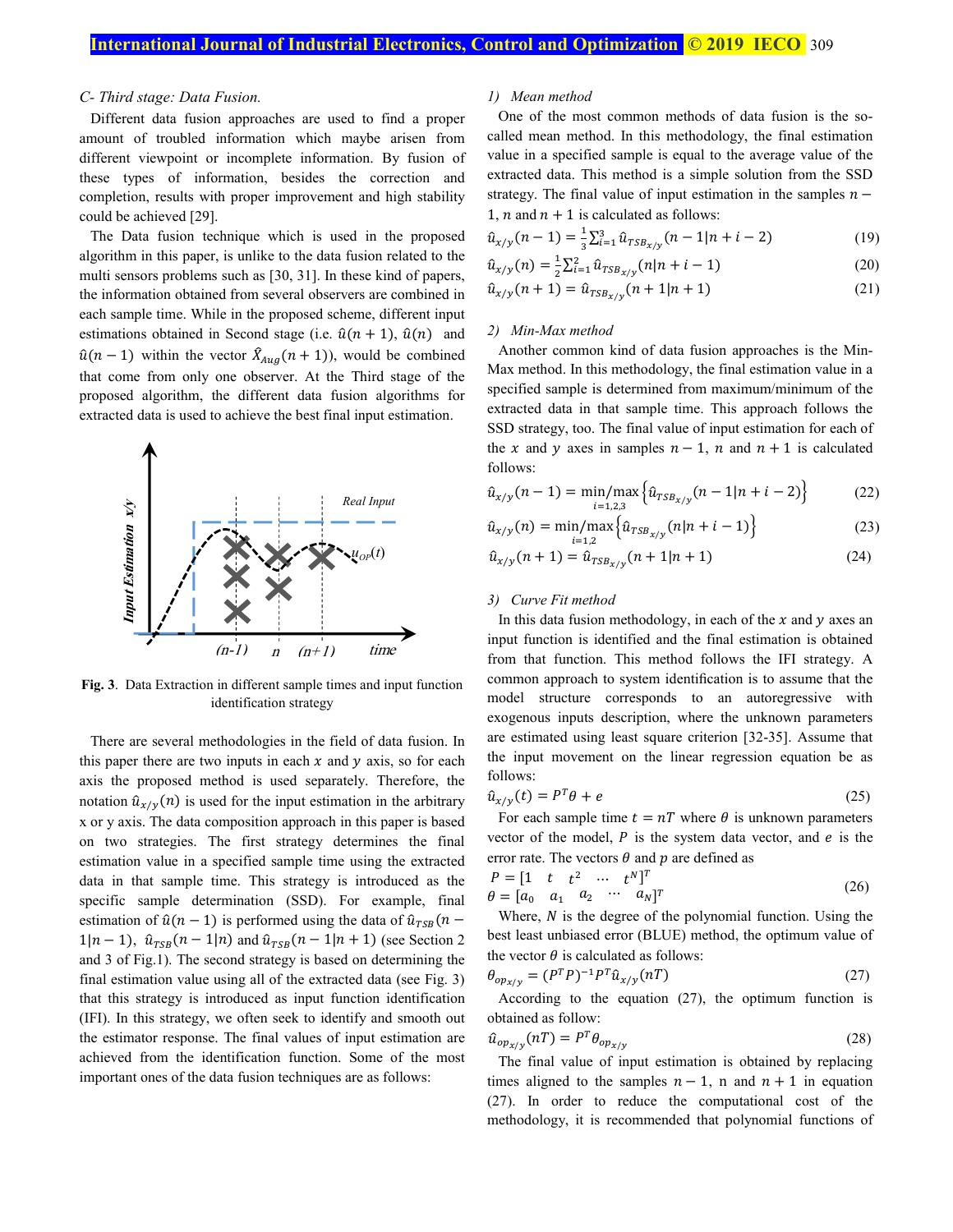### *C- Third stage: Data Fusion.*

Different data fusion approaches are used to find a proper amount of troubled information which maybe arisen from different viewpoint or incomplete information. By fusion of these types of information, besides the correction and completion, results with proper improvement and high stability could be achieved [29].

The Data fusion technique which is used in the proposed algorithm in this paper, is unlike to the data fusion related to the multi sensors problems such as [30, 31]. In these kind of papers, the information obtained from several observers are combined in each sample time. While in the proposed scheme, different input estimations obtained in Second stage (i.e.  $\hat{u}(n + 1)$ ,  $\hat{u}(n)$  and  $\hat{u}(n-1)$  within the vector  $\hat{X}_{Aug}(n+1)$ , would be combined that come from only one observer. At the Third stage of the proposed algorithm, the different data fusion algorithms for extracted data is used to achieve the best final input estimation.



**Fig. 3**. Data Extraction in different sample times and input function identification strategy

There are several methodologies in the field of data fusion. In this paper there are two inputs in each  $x$  and  $y$  axis, so for each axis the proposed method is used separately. Therefore, the notation  $\hat{u}_{x/y}(n)$  is used for the input estimation in the arbitrary x or y axis. The data composition approach in this paper is based on two strategies. The first strategy determines the final estimation value in a specified sample time using the extracted data in that sample time. This strategy is introduced as the specific sample determination (SSD). For example, final estimation of  $\hat{u}(n - 1)$  is performed using the data of  $\hat{u}_{TSB}(n - 1)$  $1|n-1|$ ,  $\hat{u}_{TSB}(n-1|n)$  and  $\hat{u}_{TSB}(n-1|n+1)$  (see Section 2) and 3 of Fig.1). The second strategy is based on determining the final estimation value using all of the extracted data (see Fig. 3) that this strategy is introduced as input function identification (IFI). In this strategy, we often seek to identify and smooth out the estimator response. The final values of input estimation are achieved from the identification function. Some of the most important ones of the data fusion techniques are as follows:

### *1) Mean method*

One of the most common methods of data fusion is the socalled mean method. In this methodology, the final estimation value in a specified sample is equal to the average value of the extracted data. This method is a simple solution from the SSD strategy. The final value of input estimation in the samples  $n -$ 1, *n* and  $n + 1$  is calculated as follows:

$$
\hat{u}_{x/y}(n-1) = \frac{1}{3} \sum_{i=1}^{3} \hat{u}_{TSB_{x/y}}(n-1|n+i-2)
$$
 (19)

$$
\hat{u}_{x/y}(n) = \frac{1}{2} \sum_{i=1}^{2} \hat{u}_{TSB_{x/y}}(n|n+i-1)
$$
\n(20)

$$
\hat{u}_{x/y}(n+1) = \hat{u}_{TSB_{x/y}}(n+1|n+1)
$$
\n(21)

## *2) Min-Max method*

Another common kind of data fusion approaches is the Min-Max method. In this methodology, the final estimation value in a specified sample is determined from maximum/minimum of the extracted data in that sample time. This approach follows the SSD strategy, too. The final value of input estimation for each of the x and y axes in samples  $n-1$ , n and  $n+1$  is calculated follows:

$$
\hat{u}_{x/y}(n-1) = \min_{i=1,2,3} \left\{ \hat{u}_{TSB_{x/y}}(n-1|n+i-2) \right\}
$$
 (22)

$$
\hat{u}_{x/y}(n) = \min_{i=1,2} \{ \hat{u}_{TSB_{x/y}}(n|n+i-1) \}
$$
\n(23)

$$
\hat{u}_{x/y}(n+1) = \hat{u}_{TSB_{x/y}}(n+1|n+1)
$$
\n(24)

## *3) Curve Fit method*

In this data fusion methodology, in each of the  $x$  and  $y$  axes and input function is identified and the final estimation is obtained from that function. This method follows the IFI strategy. A common approach to system identification is to assume that the model structure corresponds to an autoregressive with exogenous inputs description, where the unknown parameters are estimated using least square criterion [32-35]. Assume that the input movement on the linear regression equation be as follows:

$$
\hat{u}_{x/y}(t) = P^T \theta + e \tag{25}
$$

For each sample time  $t = nT$  where  $\theta$  is unknown parameters vector of the model,  $P$  is the system data vector, and  $e$  is the error rate. The vectors  $\theta$  and  $p$  are defined as

$$
P = \begin{bmatrix} 1 & t & t^2 & \cdots & t^N \end{bmatrix}^T
$$
  
\n
$$
\theta = \begin{bmatrix} a_0 & a_1 & a_2 & \cdots & a_N \end{bmatrix}^T
$$
 (26)

Where,  $N$  is the degree of the polynomial function. Using the best least unbiased error (BLUE) method, the optimum value of the vector  $\theta$  is calculated as follows:

$$
\theta_{op_{x/y}} = (P^T P)^{-1} P^T \hat{u}_{x/y} (nT) \tag{27}
$$

According to the equation (27), the optimum function is obtained as follow:

$$
\hat{u}_{op_{x/y}}(n) = P^T \theta_{op_{x/y}} \tag{28}
$$

The final value of input estimation is obtained by replacing times aligned to the samples  $n - 1$ , n and  $n + 1$  in equation (27). In order to reduce the computational cost of the methodology, it is recommended that polynomial functions of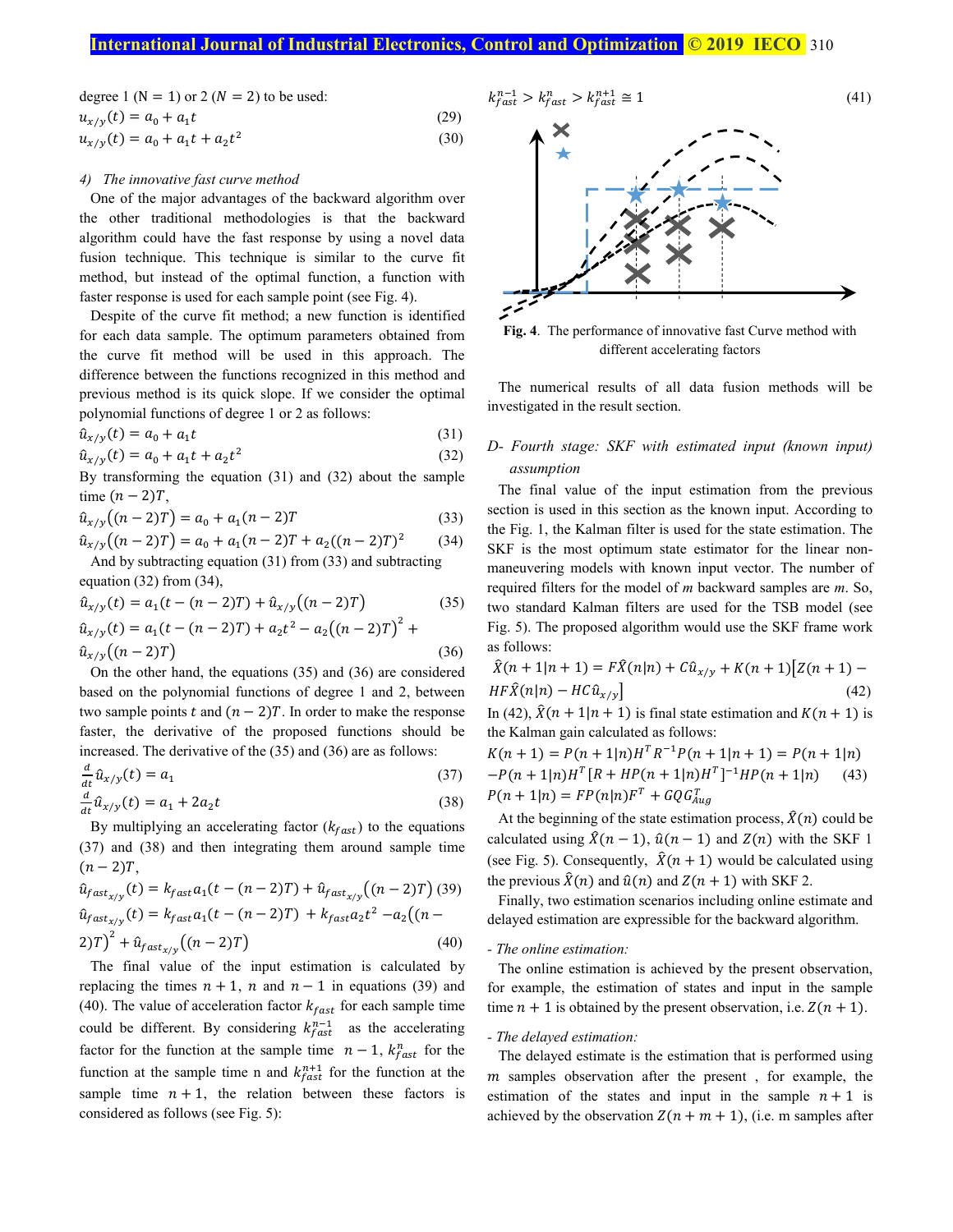# **International Journal of Industrial Electronics, Control and Optimization <b>© 2019 IECO** 310

degree 1 (N = 1) or 2 (N = 2) to be used:  
\n
$$
u_{x/y}(t) = a_0 + a_1 t
$$
 (29)  
\n $u_{x/y}(t) = a_0 + a_1 t + a_2 t^2$  (30)

### *4) The innovative fast curve method*

One of the major advantages of the backward algorithm over the other traditional methodologies is that the backward algorithm could have the fast response by using a novel data fusion technique. This technique is similar to the curve fit method, but instead of the optimal function, a function with faster response is used for each sample point (see Fig. 4).

Despite of the curve fit method; a new function is identified for each data sample. The optimum parameters obtained from the curve fit method will be used in this approach. The difference between the functions recognized in this method and previous method is its quick slope. If we consider the optimal polynomial functions of degree 1 or 2 as follows:

$$
\hat{u}_{x/y}(t) = a_0 + a_1 t \tag{31}
$$

$$
\hat{u}_{x/y}(t) = a_0 + a_1 t + a_2 t^2 \tag{32}
$$

By transforming the equation (31) and (32) about the sample time  $(n - 2)T$ ,

$$
\hat{u}_{x/y}((n-2)T) = a_0 + a_1(n-2)T \tag{33}
$$

$$
\hat{u}_{x/y}((n-2)T) = a_0 + a_1(n-2)T + a_2((n-2)T)^2
$$
\n(34)

And by subtracting equation (31) from (33) and subtracting equation (32) from (34),

$$
\hat{u}_{x/y}(t) = a_1(t - (n-2)T) + \hat{u}_{x/y}((n-2)T)
$$
\n
$$
\hat{u}_{x/y}(t) = a_1(t - (n-2)T) + a_2t^2 - a_2((n-2)T)^2 +
$$
\n(35)

$$
\hat{u}_{x/y}\big((n-2)T\big) \tag{36}
$$

On the other hand, the equations (35) and (36) are considered based on the polynomial functions of degree 1 and 2, between two sample points t and  $(n - 2)T$ . In order to make the response faster, the derivative of the proposed functions should be increased. The derivative of the (35) and (36) are as follows:

$$
\frac{d}{dt}\hat{u}_{x/y}(t) = a_1\tag{37}
$$

$$
\frac{d}{dt}\hat{u}_{x/y}(t) = a_1 + 2a_2t\tag{38}
$$

By multiplying an accelerating factor  $(k_{fast})$  to the equations (37) and (38) and then integrating them around sample time  $(n - 2)T$ ,

$$
\hat{u}_{fast_{x/y}}(t) = k_{fast}a_1(t - (n-2)T) + \hat{u}_{fast_{x/y}}((n-2)T) (39)
$$
  
\n
$$
\hat{u}_{fast_{x/y}}(t) = k_{fast}a_1(t - (n-2)T) + k_{fast}a_2t^2 - a_2((n-2)T)^2 + \hat{u}_{fast_{x/y}}((n-2)T)
$$
\n(40)

The final value of the input estimation is calculated by replacing the times  $n + 1$ , n and  $n - 1$  in equations (39) and (40). The value of acceleration factor  $k_{\text{fast}}$  for each sample time could be different. By considering  $k_{fast}^{n-1}$  as the accelerating factor for the function at the sample time  $n-1$ ,  $k_{fast}^n$  for the function at the sample time n and  $k_{fast}^{n+1}$  for the function at the sample time  $n + 1$ , the relation between these factors is considered as follows (see Fig. 5):





**Fig. 4**. The performance of innovative fast Curve method with different accelerating factors

The numerical results of all data fusion methods will be investigated in the result section.

# *D- Fourth stage: SKF with estimated input (known input) assumption*

The final value of the input estimation from the previous section is used in this section as the known input. According to the Fig. 1, the Kalman filter is used for the state estimation. The SKF is the most optimum state estimator for the linear nonmaneuvering models with known input vector. The number of required filters for the model of *m* backward samples are *m*. So, two standard Kalman filters are used for the TSB model (see Fig. 5). The proposed algorithm would use the SKF frame work as follows:

$$
\hat{X}(n+1|n+1) = F\hat{X}(n|n) + C\hat{u}_{x/y} + K(n+1)[Z(n+1) - HF\hat{X}(n|n) - HC\hat{u}_{x/y}]
$$
\n(42)

In (42),  $X(n + 1|n + 1)$  is final state estimation and  $K(n + 1)$  is the Kalman gain calculated as follows:

 $K(n + 1) = P(n + 1|n)H^{T}R^{-1}P(n + 1|n + 1) = P(n + 1|n)$  $-P(n+1|n)H^{T}[R+HP(n+1|n)H^{T}]^{-1}HP(n+1|n)$  (43)  $P(n + 1|n) = FP(n|n)F^{T} + GQG_{Aug}^{T}$ 

At the beginning of the state estimation process,  $\hat{X}(n)$  could be calculated using  $\hat{X}(n-1)$ ,  $\hat{u}(n-1)$  and  $Z(n)$  with the SKF 1 (see Fig. 5). Consequently,  $\hat{X}(n + 1)$  would be calculated using the previous  $\hat{X}(n)$  and  $\hat{u}(n)$  and  $Z(n + 1)$  with SKF 2.

Finally, two estimation scenarios including online estimate and delayed estimation are expressible for the backward algorithm.

## *- The online estimation:*

The online estimation is achieved by the present observation, for example, the estimation of states and input in the sample time  $n + 1$  is obtained by the present observation, i.e.  $Z(n + 1)$ .

## *- The delayed estimation:*

The delayed estimate is the estimation that is performed using  *samples observation after the present, for example, the* estimation of the states and input in the sample  $n + 1$  is achieved by the observation  $Z(n + m + 1)$ , (i.e. m samples after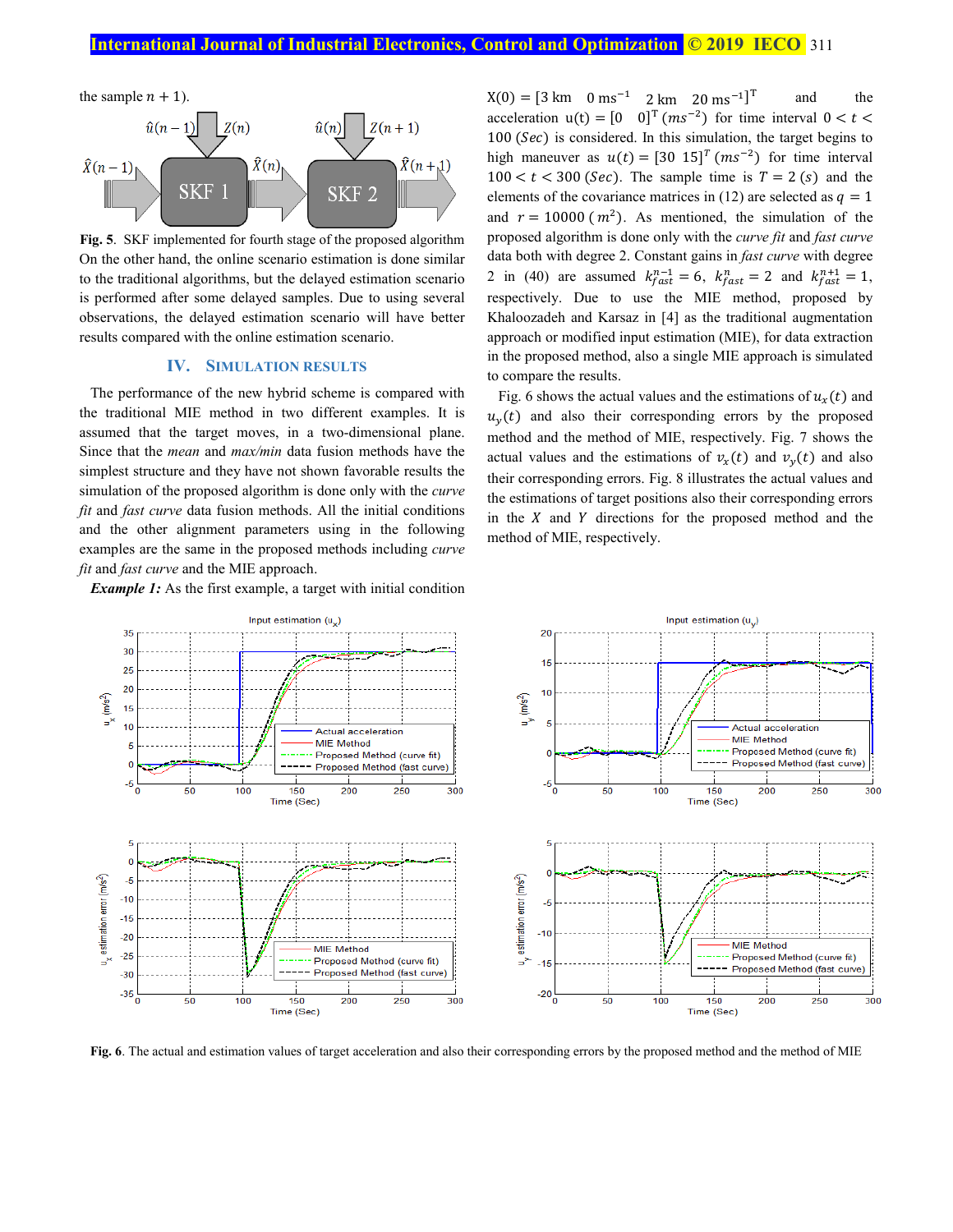

**Fig. 5**. SKF implemented for fourth stage of the proposed algorithm On the other hand, the online scenario estimation is done similar to the traditional algorithms, but the delayed estimation scenario is performed after some delayed samples. Due to using several observations, the delayed estimation scenario will have better results compared with the online estimation scenario.

## **IV. SIMULATION RESULTS**

The performance of the new hybrid scheme is compared with the traditional MIE method in two different examples. It is assumed that the target moves, in a two-dimensional plane. Since that the *mean* and *max/min* data fusion methods have the simplest structure and they have not shown favorable results the simulation of the proposed algorithm is done only with the *curve fit* and *fast curve* data fusion methods. All the initial conditions and the other alignment parameters using in the following examples are the same in the proposed methods including *curve fit* and *fast curve* and the MIE approach.

*Example 1:* As the first example, a target with initial condition

 $X(0) = [3 \text{ km} \quad 0 \text{ ms}^{-1} \quad 2 \text{ km} \quad 20 \text{ ms}^{-1}]^T$  and the acceleration  $u(t) = \begin{bmatrix} 0 & 0 \end{bmatrix}^T$  ( $ms^{-2}$ ) for time interval  $0 < t <$  $100$  (Sec) is considered. In this simulation, the target begins to high maneuver as  $u(t) = [30 \t15]^T (ms^{-2})$  for time interval  $100 < t < 300$  (*Sec*). The sample time is  $T = 2$  (*s*) and the elements of the covariance matrices in (12) are selected as  $q = 1$ and  $r = 10000$  ( $m<sup>2</sup>$ ). As mentioned, the simulation of the proposed algorithm is done only with the *curve fit* and *fast curve*  data both with degree 2. Constant gains in *fast curve* with degree 2 in (40) are assumed  $k_{fast}^{n-1} = 6$ ,  $k_{fast}^{n} = 2$  and  $k_{fast}^{n+1} = 1$ , respectively. Due to use the MIE method, proposed by Khaloozadeh and Karsaz in [4] as the traditional augmentation approach or modified input estimation (MIE), for data extraction in the proposed method, also a single MIE approach is simulated to compare the results.

Fig. 6 shows the actual values and the estimations of  $u_r(t)$  and  $u<sub>v</sub>(t)$  and also their corresponding errors by the proposed method and the method of MIE, respectively. Fig. 7 shows the actual values and the estimations of  $v_x(t)$  and  $v_y(t)$  and also their corresponding errors. Fig. 8 illustrates the actual values and the estimations of target positions also their corresponding errors in the  $X$  and  $Y$  directions for the proposed method and the method of MIE, respectively.



**Fig. 6**. The actual and estimation values of target acceleration and also their corresponding errors by the proposed method and the method of MIE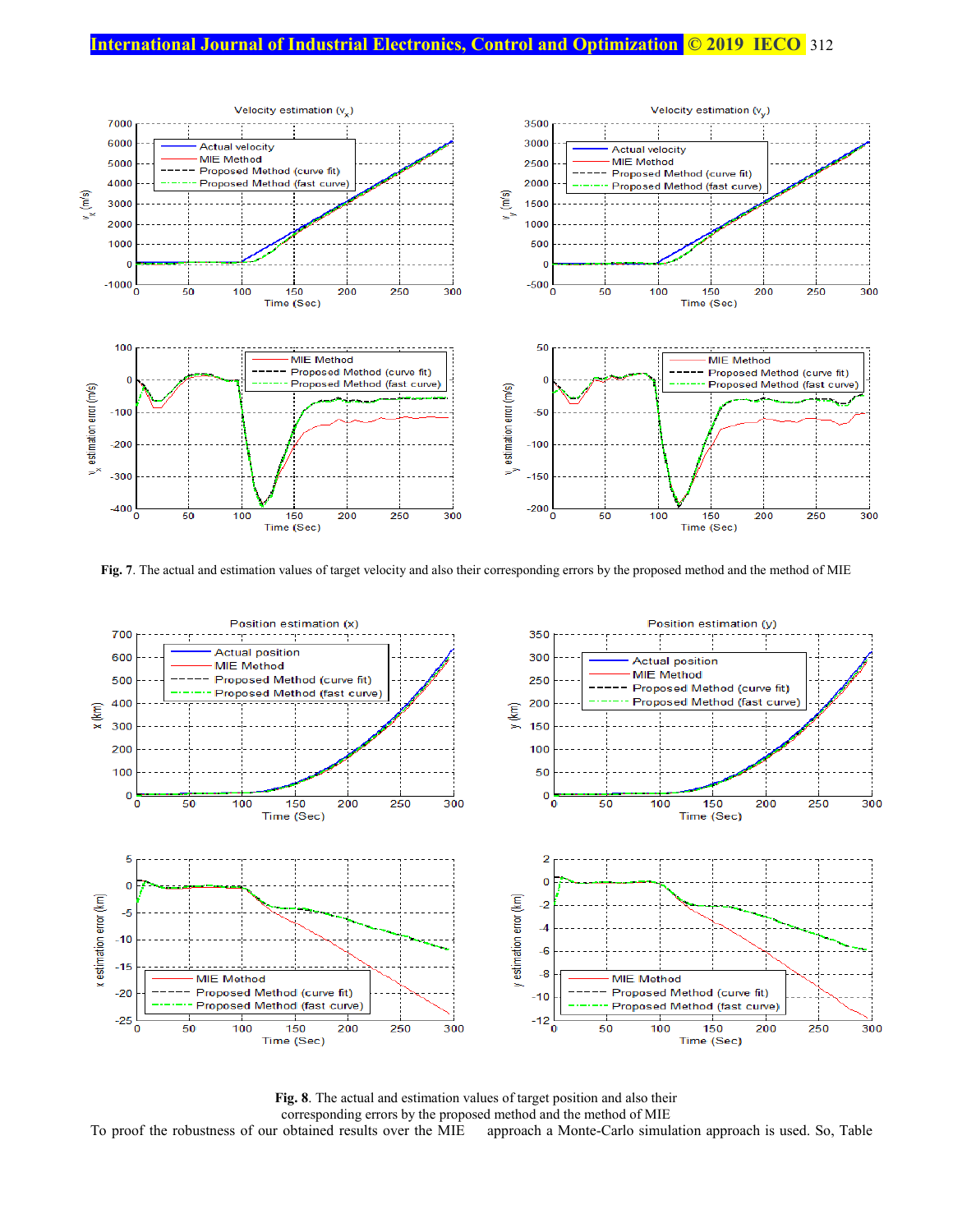# **International Journal of Industrial Electronics, Control and Optimization © 2019 IECO** 312



**Fig. 7**. The actual and estimation values of target velocity and also their corresponding errors by the proposed method and the method of MIE



**Fig. 8**. The actual and estimation values of target position and also their corresponding errors by the proposed method and the method of MIE<br>To proof the robustness of our obtained results over the MIE approach a Monte-Carlo simul approach a Monte-Carlo simulation approach is used. So, Table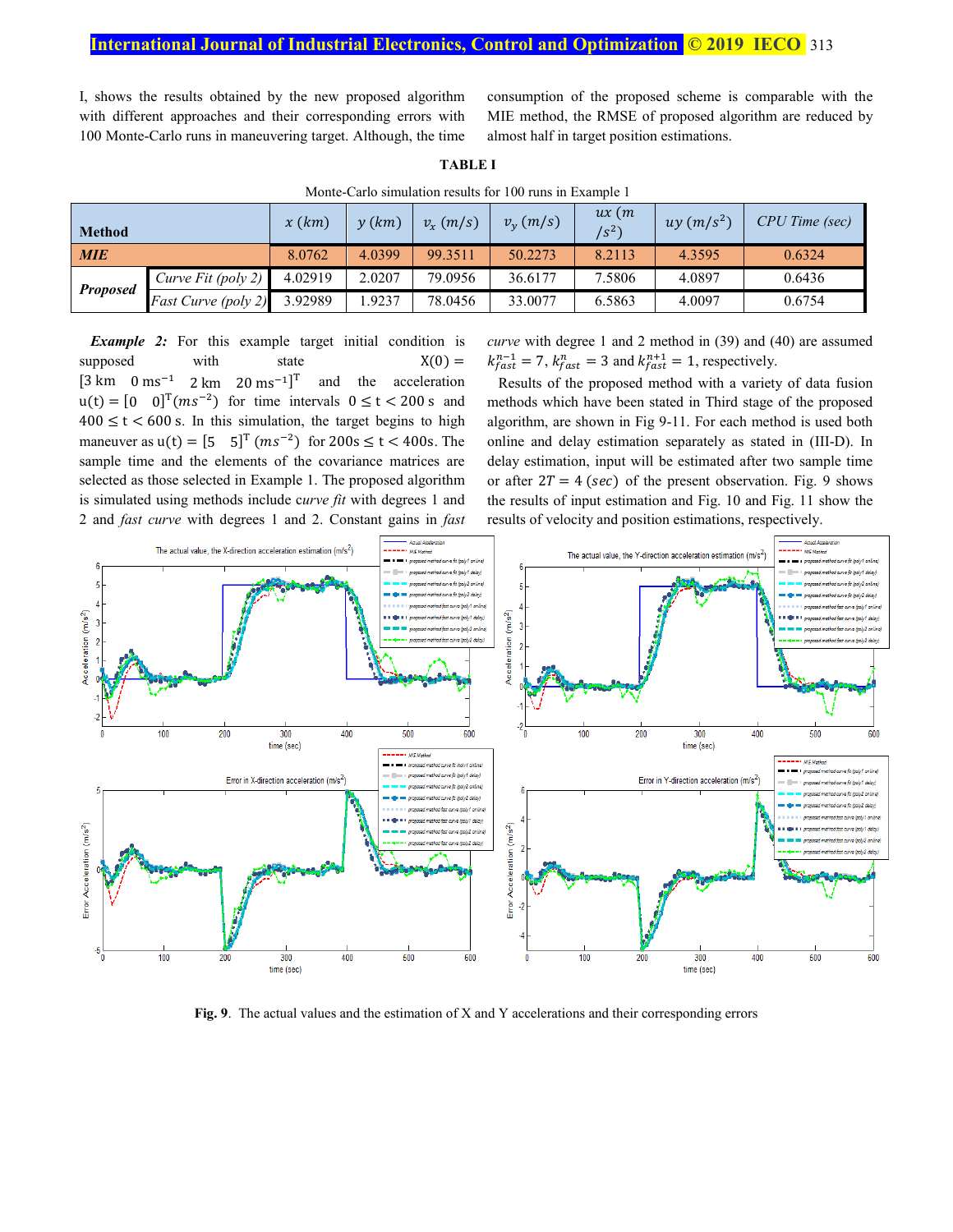I, shows the results obtained by the new proposed algorithm with different approaches and their corresponding errors with 100 Monte-Carlo runs in maneuvering target. Although, the time consumption of the proposed scheme is comparable with the MIE method, the RMSE of proposed algorithm are reduced by almost half in target position estimations.

| Monte-Carlo simulation results for 100 runs in Example 1 |                     |         |            |             |                 |                       |              |                       |  |  |
|----------------------------------------------------------|---------------------|---------|------------|-------------|-----------------|-----------------------|--------------|-----------------------|--|--|
| <b>Method</b>                                            |                     | x(km)   | $\nu$ (km) | $v_x$ (m/s) | $v_{v}$ $(m/s)$ | ux(m)<br>$\sqrt{s^2}$ | $uy (m/s^2)$ | <b>CPU</b> Time (sec) |  |  |
| <b>MIE</b>                                               |                     | 8.0762  | 4.0399     | 99.3511     | 50.2273         | 8.2113                | 4.3595       | 0.6324                |  |  |
| <b>Proposed</b>                                          | Curve Fit (poly 2)  | 4.02919 | 2.0207     | 79.0956     | 36.6177         | 7.5806                | 4.0897       | 0.6436                |  |  |
|                                                          | Fast Curve (poly 2) | 3.92989 | .9237      | 78.0456     | 33,0077         | 6.5863                | 4.0097       | 0.6754                |  |  |

**TABLE I**

Monte-Carlo simulation results for 100 runs in Example 1

**Example 2:** For this example target initial condition is supposed with state  $X(0) =$  $[3 \text{ km} \quad 0 \text{ ms}^{-1} \quad 2 \text{ km} \quad 20 \text{ ms}^{-1}]^T$  and the acceleration  $u(t) = [0 \t 0]^T (ms^{-2})$  for time intervals  $0 \le t < 200$  s and  $400 \le t \le 600$  s. In this simulation, the target begins to high maneuver as  $u(t) = [5 \t 5]^T (ms^{-2})$  for  $200s \le t < 400s$ . The sample time and the elements of the covariance matrices are selected as those selected in Example 1. The proposed algorithm is simulated using methods include c*urve fit* with degrees 1 and 2 and *fast curve* with degrees 1 and 2. Constant gains in *fast* 

*curve* with degree 1 and 2 method in (39) and (40) are assumed  $k_{fast}^{n-1} = 7$ ,  $k_{fast}^{n} = 3$  and  $k_{fast}^{n+1} = 1$ , respectively.

Results of the proposed method with a variety of data fusion methods which have been stated in Third stage of the proposed algorithm, are shown in Fig 9-11. For each method is used both online and delay estimation separately as stated in (III-D). In delay estimation, input will be estimated after two sample time or after  $2T = 4$  (sec) of the present observation. Fig. 9 shows the results of input estimation and Fig. 10 and Fig. 11 show the results of velocity and position estimations, respectively.



**Fig. 9**. The actual values and the estimation of X and Y accelerations and their corresponding errors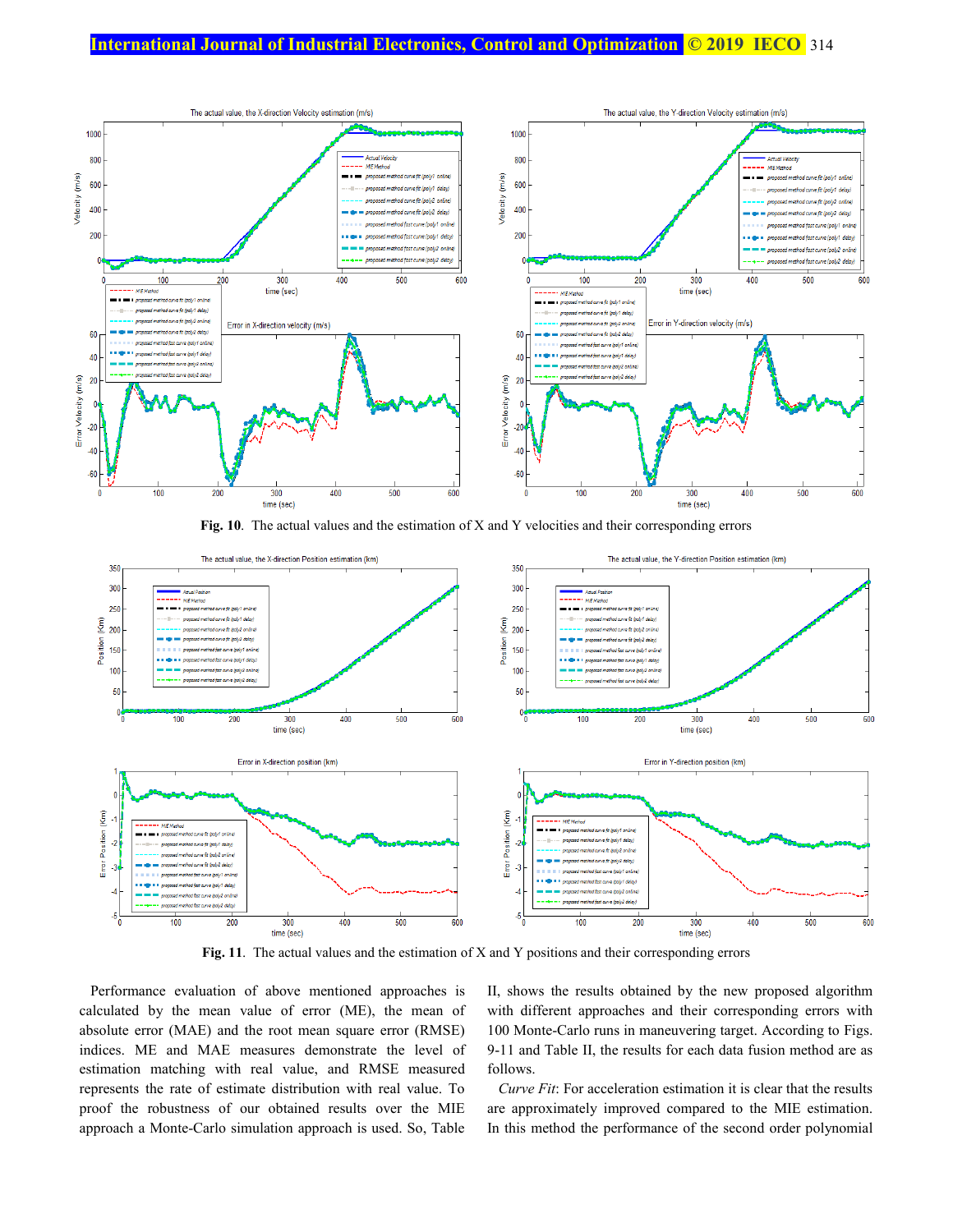

**Fig. 10**. The actual values and the estimation of X and Y velocities and their corresponding errors



**Fig. 11**. The actual values and the estimation of X and Y positions and their corresponding errors

Performance evaluation of above mentioned approaches is calculated by the mean value of error (ME), the mean of absolute error (MAE) and the root mean square error (RMSE) indices. ME and MAE measures demonstrate the level of estimation matching with real value, and RMSE measured represents the rate of estimate distribution with real value. To proof the robustness of our obtained results over the MIE approach a Monte-Carlo simulation approach is used. So, Table II, shows the results obtained by the new proposed algorithm with different approaches and their corresponding errors with 100 Monte-Carlo runs in maneuvering target. According to Figs. 9-11 and Table II, the results for each data fusion method are as follows.

*Curve Fit*: For acceleration estimation it is clear that the results are approximately improved compared to the MIE estimation. In this method the performance of the second order polynomial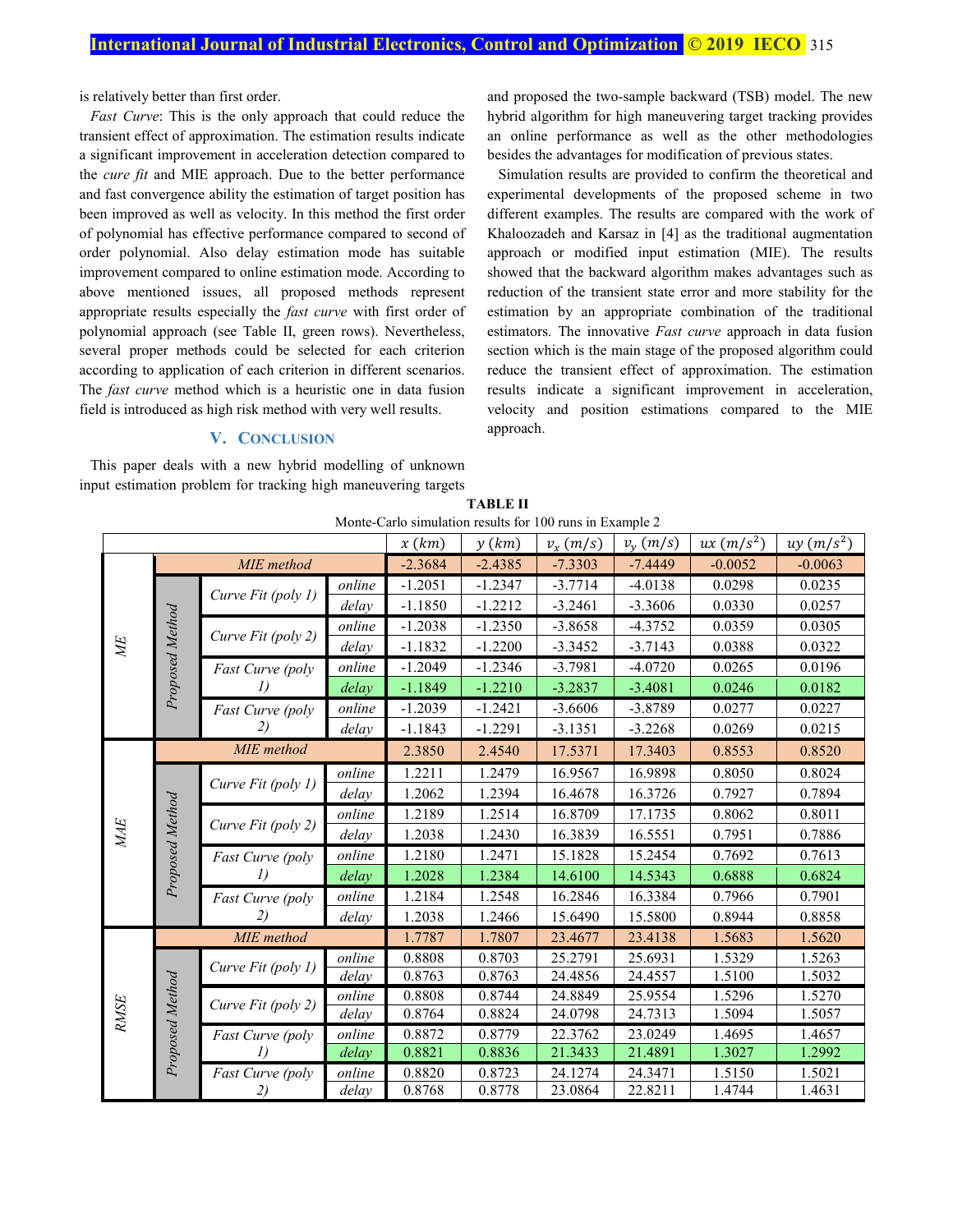is relatively better than first order.

*Fast Curve*: This is the only approach that could reduce the transient effect of approximation. The estimation results indicate a significant improvement in acceleration detection compared to the *cure fit* and MIE approach. Due to the better performance and fast convergence ability the estimation of target position has been improved as well as velocity. In this method the first order of polynomial has effective performance compared to second of order polynomial. Also delay estimation mode has suitable improvement compared to online estimation mode. According to above mentioned issues, all proposed methods represent appropriate results especially the *fast curve* with first order of polynomial approach (see Table II, green rows). Nevertheless, several proper methods could be selected for each criterion according to application of each criterion in different scenarios. The *fast curve* method which is a heuristic one in data fusion field is introduced as high risk method with very well results.

# **V. CONCLUSION**

This paper deals with a new hybrid modelling of unknown input estimation problem for tracking high maneuvering targets and proposed the two-sample backward (TSB) model. The new hybrid algorithm for high maneuvering target tracking provides an online performance as well as the other methodologies besides the advantages for modification of previous states.

Simulation results are provided to confirm the theoretical and experimental developments of the proposed scheme in two different examples. The results are compared with the work of Khaloozadeh and Karsaz in [4] as the traditional augmentation approach or modified input estimation (MIE). The results showed that the backward algorithm makes advantages such as reduction of the transient state error and more stability for the estimation by an appropriate combination of the traditional estimators. The innovative *Fast curve* approach in data fusion section which is the main stage of the proposed algorithm could reduce the transient effect of approximation. The estimation results indicate a significant improvement in acceleration, velocity and position estimations compared to the MIE approach.

| <b>TABLE II</b>                                          |  |
|----------------------------------------------------------|--|
| Monte-Carlo simulation results for 100 runs in Example 2 |  |

|                                |                 |                                    |        | x(km)     | y(km)     | $\alpha$ . The case of the community of the case of $\alpha$ is the case of $\alpha$<br>$v_x(m/s)$ | $v_{v}$ $(m/s)$ | $ux(m/s^2)$ | $uy (m/s^2)$ |
|--------------------------------|-----------------|------------------------------------|--------|-----------|-----------|----------------------------------------------------------------------------------------------------|-----------------|-------------|--------------|
|                                | MIE method      |                                    |        | $-2.3684$ | $-2.4385$ | $-7.3303$                                                                                          | $-7.4449$       | $-0.0052$   | $-0.0063$    |
| ME                             | Proposed Method | Curve Fit (poly 1)                 | online | $-1.2051$ | $-1.2347$ | $-3.7714$                                                                                          | $-4.0138$       | 0.0298      | 0.0235       |
|                                |                 |                                    | delay  | $-1.1850$ | $-1.2212$ | $-3.2461$                                                                                          | $-3.3606$       | 0.0330      | 0.0257       |
|                                |                 | Curve Fit (poly 2)                 | online | $-1.2038$ | $-1.2350$ | $-3.8658$                                                                                          | $-4.3752$       | 0.0359      | 0.0305       |
|                                |                 |                                    | delay  | $-1.1832$ | $-1.2200$ | $-3.3452$                                                                                          | $-3.7143$       | 0.0388      | 0.0322       |
|                                |                 | Fast Curve (poly                   | online | $-1.2049$ | $-1.2346$ | $-3.7981$                                                                                          | $-4.0720$       | 0.0265      | 0.0196       |
|                                |                 |                                    | delay  | $-1.1849$ | $-1.2210$ | $-3.2837$                                                                                          | $-3.4081$       | 0.0246      | 0.0182       |
|                                |                 | Fast Curve (poly                   | online | $-1.2039$ | $-1.2421$ | $-3.6606$                                                                                          | $-3.8789$       | 0.0277      | 0.0227       |
|                                |                 | 2)                                 | delay  | $-1.1843$ | $-1.2291$ | $-3.1351$                                                                                          | $-3.2268$       | 0.0269      | 0.0215       |
| MAE                            |                 | MIE method                         | 2.3850 | 2.4540    | 17.5371   | 17.3403                                                                                            | 0.8553          | 0.8520      |              |
|                                | Proposed Method | Curve Fit (poly 1)                 | online | 1.2211    | 1.2479    | 16.9567                                                                                            | 16.9898         | 0.8050      | 0.8024       |
|                                |                 |                                    | delay  | 1.2062    | 1.2394    | 16.4678                                                                                            | 16.3726         | 0.7927      | 0.7894       |
|                                |                 | Curve Fit (poly 2)                 | online | 1.2189    | 1.2514    | 16.8709                                                                                            | 17.1735         | 0.8062      | 0.8011       |
|                                |                 |                                    | delay  | 1.2038    | 1.2430    | 16.3839                                                                                            | 16.5551         | 0.7951      | 0.7886       |
|                                |                 | Fast Curve (poly<br>I)             | online | 1.2180    | 1.2471    | 15.1828                                                                                            | 15.2454         | 0.7692      | 0.7613       |
|                                |                 |                                    | delay  | 1.2028    | 1.2384    | 14.6100                                                                                            | 14.5343         | 0.6888      | 0.6824       |
|                                |                 | Fast Curve (poly                   | online | 1.2184    | 1.2548    | 16.2846                                                                                            | 16.3384         | 0.7966      | 0.7901       |
|                                |                 | 2)                                 | delay  | 1.2038    | 1.2466    | 15.6490                                                                                            | 15.5800         | 0.8944      | 0.8858       |
| Proposed Method<br><b>RMSE</b> |                 | MIE method                         |        | 1.7787    | 1.7807    | 23.4677                                                                                            | 23.4138         | 1.5683      | 1.5620       |
|                                |                 | Curve Fit (poly 1)                 | online | 0.8808    | 0.8703    | 25.2791                                                                                            | 25.6931         | 1.5329      | 1.5263       |
|                                |                 |                                    | delay  | 0.8763    | 0.8763    | 24.4856                                                                                            | 24.4557         | 1.5100      | 1.5032       |
|                                |                 | Curve Fit (poly 2)                 | online | 0.8808    | 0.8744    | 24.8849                                                                                            | 25.9554         | 1.5296      | 1.5270       |
|                                |                 |                                    | delay  | 0.8764    | 0.8824    | 24.0798                                                                                            | 24.7313         | 1.5094      | 1.5057       |
|                                |                 | Fast Curve (poly<br>$\overline{I}$ | online | 0.8872    | 0.8779    | 22.3762                                                                                            | 23.0249         | 1.4695      | 1.4657       |
|                                |                 |                                    | delay  | 0.8821    | 0.8836    | 21.3433                                                                                            | 21.4891         | 1.3027      | 1.2992       |
|                                |                 | Fast Curve (poly                   | online | 0.8820    | 0.8723    | 24.1274                                                                                            | 24.3471         | 1.5150      | 1.5021       |
|                                |                 | 2)                                 | delay  | 0.8768    | 0.8778    | 23.0864                                                                                            | 22.8211         | 1.4744      | 1.4631       |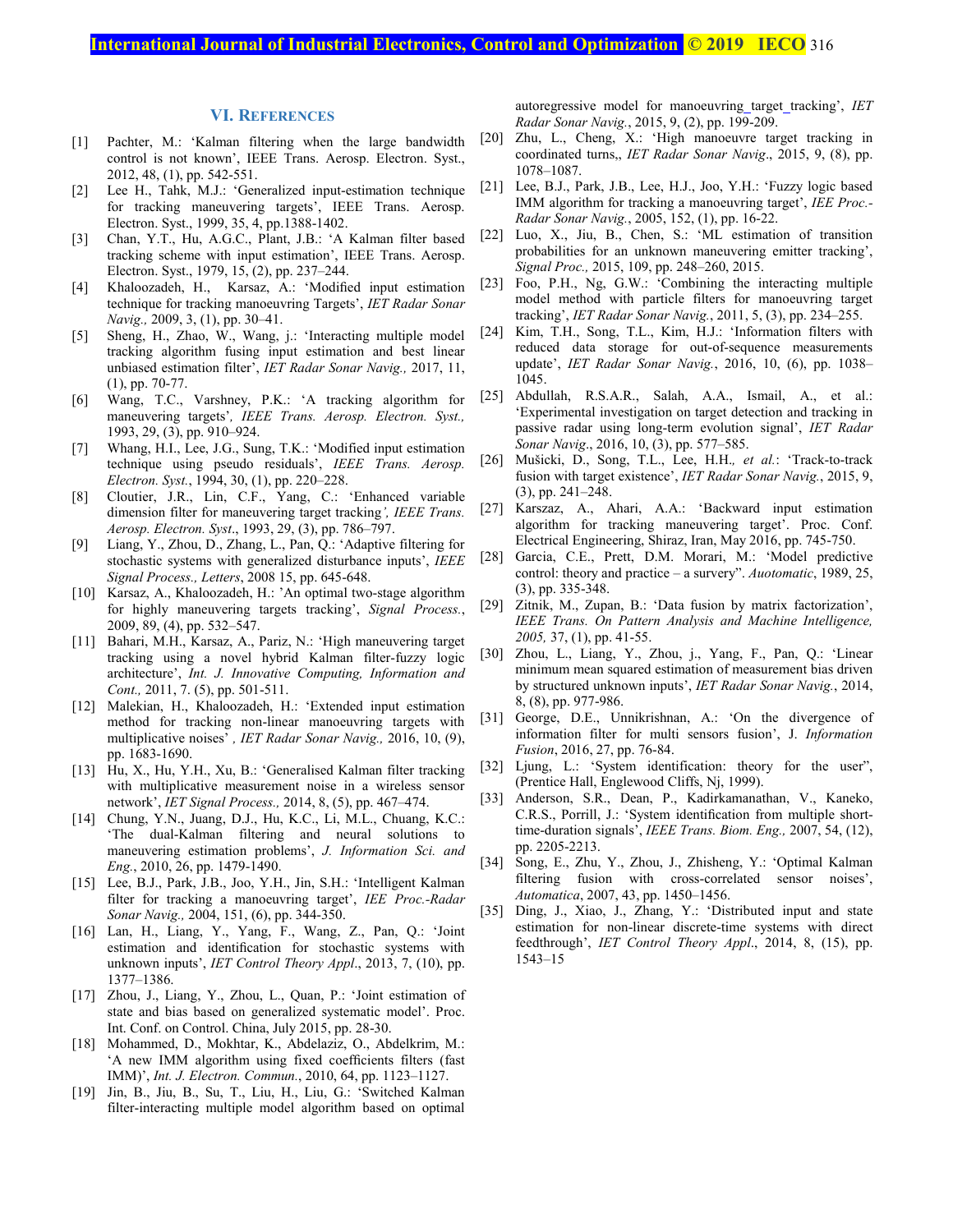# **International Journal of Industrial Electronics, Control and Optimization © 2019 IECO** 316

## **VI. REFERENCES**

- [1] Pachter, M.: 'Kalman filtering when the large bandwidth control is not known', IEEE Trans. Aerosp. Electron. Syst., 2012, 48, (1), pp. 542-551.
- [2] Lee H., Tahk, M.J.: 'Generalized input-estimation technique for tracking maneuvering targets', IEEE Trans. Aerosp. Electron. Syst., 1999, 35, 4, pp.1388-1402.
- [3] Chan, Y.T., Hu, A.G.C., Plant, J.B.: 'A Kalman filter based tracking scheme with input estimation', IEEE Trans. Aerosp. Electron. Syst., 1979, 15, (2), pp. 237–244.
- [4] Khaloozadeh, H., Karsaz, A.: 'Modified input estimation technique for tracking manoeuvring Targets', *IET Radar Sonar Navig.,* 2009, 3, (1), pp. 30–41.
- [5] Sheng, H., Zhao, W., Wang, j.: 'Interacting multiple model tracking algorithm fusing input estimation and best linear unbiased estimation filter', *IET Radar Sonar Navig.,* 2017, 11, (1), pp. 70-77.
- [6] Wang, T.C., Varshney, P.K.: 'A tracking algorithm for maneuvering targets'*, IEEE Trans. Aerosp. Electron. Syst.,* 1993, 29, (3), pp. 910–924.
- [7] Whang, H.I., Lee, J.G., Sung, T.K.: 'Modified input estimation technique using pseudo residuals', *IEEE Trans. Aerosp. Electron. Syst.*, 1994, 30, (1), pp. 220–228.
- [8] Cloutier, J.R., Lin, C.F., Yang, C.: 'Enhanced variable dimension filter for maneuvering target tracking*', IEEE Trans. Aerosp. Electron. Syst*., 1993, 29, (3), pp. 786–797.
- [9] Liang, Y., Zhou, D., Zhang, L., Pan, Q.: 'Adaptive filtering for stochastic systems with generalized disturbance inputs', *IEEE Signal Process., Letters*, 2008 15, pp. 645-648.
- [10] Karsaz, A., Khaloozadeh, H.: 'An optimal two-stage algorithm for highly maneuvering targets tracking', *Signal Process.*, 2009, 89, (4), pp. 532–547.
- [11] Bahari, M.H., Karsaz, A., Pariz, N.: 'High maneuvering target tracking using a novel hybrid Kalman filter-fuzzy logic architecture', *Int. J. Innovative Computing, Information and Cont.,* 2011, 7. (5), pp. 501-511.
- [12] Malekian, H., Khaloozadeh, H.: 'Extended input estimation method for tracking non-linear manoeuvring targets with multiplicative noises' *, IET Radar Sonar Navig.,* 2016, 10, (9), pp. 1683-1690.
- [13] Hu, X., Hu, Y.H., Xu, B.: 'Generalised Kalman filter tracking with multiplicative measurement noise in a wireless sensor network', *IET Signal Process.,* 2014, 8, (5), pp. 467–474.
- [14] Chung, Y.N., Juang, D.J., Hu, K.C., Li, M.L., Chuang, K.C.: 'The dual-Kalman filtering and neural solutions to maneuvering estimation problems', *J. Information Sci. and Eng.*, 2010, 26, pp. 1479-1490.
- [15] Lee, B.J., Park, J.B., Joo, Y.H., Jin, S.H.: 'Intelligent Kalman filter for tracking a manoeuvring target', *IEE Proc.-Radar Sonar Navig.,* 2004, 151, (6), pp. 344-350.
- [16] Lan, H., Liang, Y., Yang, F., Wang, Z., Pan, Q.: 'Joint estimation and identification for stochastic systems with unknown inputs', *IET Control Theory Appl*., 2013, 7, (10), pp. 1377–1386.
- [17] Zhou, J., Liang, Y., Zhou, L., Quan, P.: 'Joint estimation of state and bias based on generalized systematic model'. Proc. Int. Conf. on Control. China, July 2015, pp. 28-30.
- [18] Mohammed, D., Mokhtar, K., Abdelaziz, O., Abdelkrim, M.: 'A new IMM algorithm using fixed coefficients filters (fast IMM)', *Int. J. Electron. Commun.*, 2010, 64, pp. 1123–1127.
- [19] Jin, B., Jiu, B., Su, T., Liu, H., Liu, G.: 'Switched Kalman filter-interacting multiple model algorithm based on optimal

autoregressive model for manoeuvring target tracking', *IET Radar Sonar Navig.*, 2015, 9, (2), pp. 199-209.

- [20] Zhu, L., Cheng, X.: 'High manoeuvre target tracking in coordinated turns,, *IET Radar Sonar Navig*., 2015, 9, (8), pp. 1078–1087.
- [21] Lee, B.J., Park, J.B., Lee, H.J., Joo, Y.H.: 'Fuzzy logic based IMM algorithm for tracking a manoeuvring target', *IEE Proc.- Radar Sonar Navig.*, 2005, 152, (1), pp. 16-22.
- [22] Luo, X., Jiu, B., Chen, S.: 'ML estimation of transition probabilities for an unknown maneuvering emitter tracking', *Signal Proc.,* 2015, 109, pp. 248–260, 2015.
- [23] Foo, P.H., Ng, G.W.: 'Combining the interacting multiple model method with particle filters for manoeuvring target tracking', *IET Radar Sonar Navig.*, 2011, 5, (3), pp. 234–255.
- [24] Kim, T.H., Song, T.L., Kim, H.J.: 'Information filters with reduced data storage for out-of-sequence measurements update', *IET Radar Sonar Navig.*, 2016, 10, (6), pp. 1038– 1045.
- [25] Abdullah, R.S.A.R., Salah, A.A., Ismail, A., et al.: 'Experimental investigation on target detection and tracking in passive radar using long-term evolution signal', *IET Radar Sonar Navig*., 2016, 10, (3), pp. 577–585.
- [26] Mušicki, D., Song, T.L., Lee, H.H.*, et al.*: 'Track-to-track fusion with target existence', *IET Radar Sonar Navig.*, 2015, 9, (3), pp. 241–248.
- [27] Karszaz, A., Ahari, A.A.: 'Backward input estimation algorithm for tracking maneuvering target'. Proc. Conf. Electrical Engineering, Shiraz, Iran, May 2016, pp. 745-750.
- [28] Garcia, C.E., Prett, D.M. Morari, M.: 'Model predictive control: theory and practice – a survery". *Auotomatic*, 1989, 25, (3), pp. 335-348.
- [29] Zitnik, M., Zupan, B.: 'Data fusion by matrix factorization', *IEEE Trans. On Pattern Analysis and Machine Intelligence, 2005,* 37, (1), pp. 41-55.
- [30] Zhou, L., Liang, Y., Zhou, j., Yang, F., Pan, Q.: 'Linear minimum mean squared estimation of measurement bias driven by structured unknown inputs', *IET Radar Sonar Navig.*, 2014, 8, (8), pp. 977-986.
- [31] George, D.E., Unnikrishnan, A.: 'On the divergence of information filter for multi sensors fusion', J. *Information Fusion*, 2016, 27, pp. 76-84.
- [32] Ljung, L.: 'System identification: theory for the user", (Prentice Hall, Englewood Cliffs, Nj, 1999).
- [33] Anderson, S.R., Dean, P., Kadirkamanathan, V., Kaneko, C.R.S., Porrill, J.: 'System identification from multiple shorttime-duration signals', *IEEE Trans. Biom. Eng.,* 2007, 54, (12), pp. 2205-2213.
- [34] Song, E., Zhu, Y., Zhou, J., Zhisheng, Y.: 'Optimal Kalman filtering fusion with cross-correlated sensor noises', *Automatica*, 2007, 43, pp. 1450–1456.
- [35] Ding, J., Xiao, J., Zhang, Y.: 'Distributed input and state estimation for non-linear discrete-time systems with direct feedthrough', *IET Control Theory Appl*., 2014, 8, (15), pp. 1543–15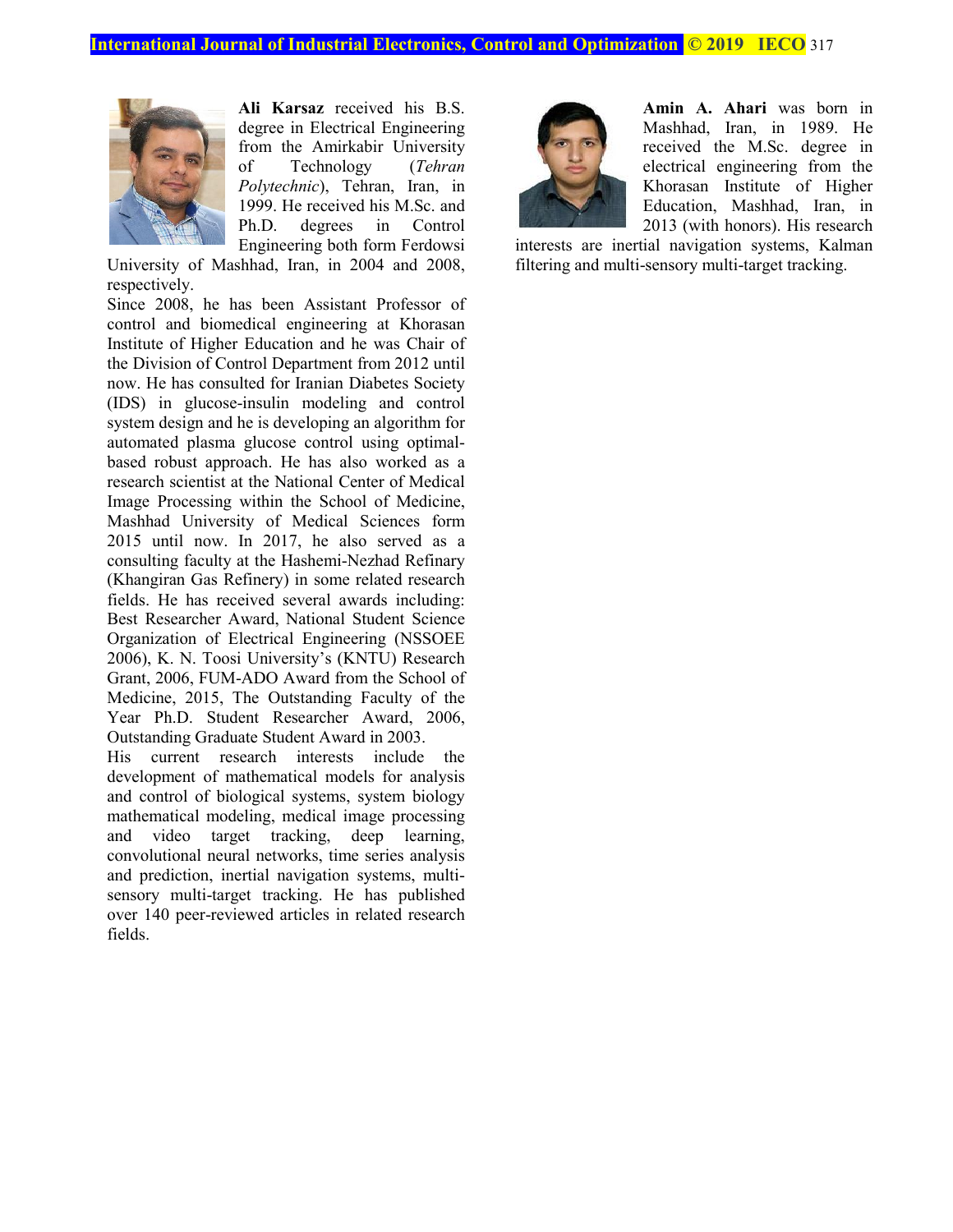

**Ali Karsaz** received his B.S. degree in Electrical Engineering from the Amirkabir University of Technology (*Tehran Polytechnic*), Tehran, Iran, in 1999. He received his M.Sc. and Ph.D. degrees in Control Engineering both form Ferdowsi

University of Mashhad, Iran, in 2004 and 2008, respectively.

Since 2008, he has been Assistant Professor of control and biomedical engineering at Khorasan Institute of Higher Education and he was Chair of the Division of Control Department from 2012 until now. He has consulted for Iranian Diabetes Society (IDS) in glucose-insulin modeling and control system design and he is developing an algorithm for automated plasma glucose control using optimalbased robust approach. He has also worked as a research scientist at the National Center of Medical Image Processing within the School of Medicine, Mashhad University of Medical Sciences form 2015 until now. In 2017, he also served as a consulting faculty at the Hashemi-Nezhad Refinary (Khangiran Gas Refinery) in some related research fields. He has received several awards including: Best Researcher Award, National Student Science Organization of Electrical Engineering (NSSOEE 2006), K. N. Toosi University's (KNTU) Research Grant, 2006, FUM-ADO Award from the School of Medicine, 2015, The Outstanding Faculty of the Year Ph.D. Student Researcher Award, 2006, Outstanding Graduate Student Award in 2003.

His current research interests include the development of mathematical models for analysis and control of biological systems, system biology mathematical modeling, medical image processing and video target tracking, deep learning, convolutional neural networks, time series analysis and prediction, inertial navigation systems, multisensory multi-target tracking. He has published over 140 peer-reviewed articles in related research fields.



**Amin A. Ahari** was born in Mashhad, Iran, in 1989. He received the M.Sc. degree in electrical engineering from the Khorasan Institute of Higher Education, Mashhad, Iran, in 2013 (with honors). His research

interests are inertial navigation systems, Kalman filtering and multi-sensory multi-target tracking.